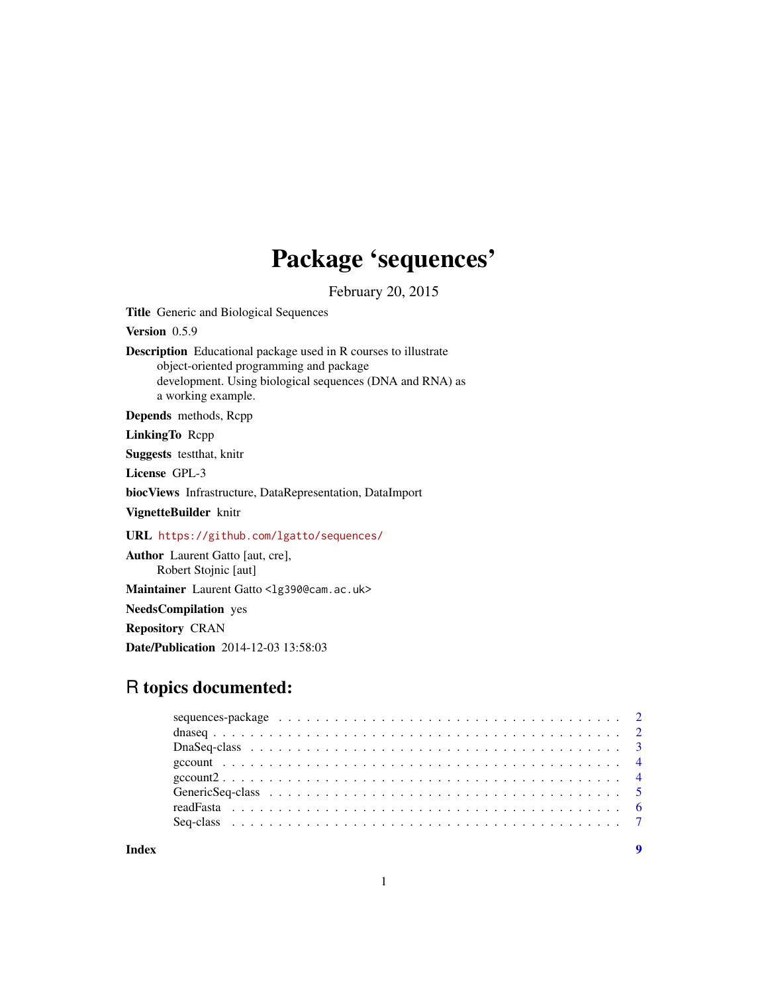# Package 'sequences'

February 20, 2015

<span id="page-0-0"></span>Title Generic and Biological Sequences

Version 0.5.9

Description Educational package used in R courses to illustrate object-oriented programming and package development. Using biological sequences (DNA and RNA) as a working example.

Depends methods, Rcpp

LinkingTo Rcpp

Suggests testthat, knitr

License GPL-3

biocViews Infrastructure, DataRepresentation, DataImport

VignetteBuilder knitr

URL <https://github.com/lgatto/sequences/>

Author Laurent Gatto [aut, cre], Robert Stojnic [aut] Maintainer Laurent Gatto <lg390@cam.ac.uk>

NeedsCompilation yes

Repository CRAN

Date/Publication 2014-12-03 13:58:03

# R topics documented:

**Index** [9](#page-8-0)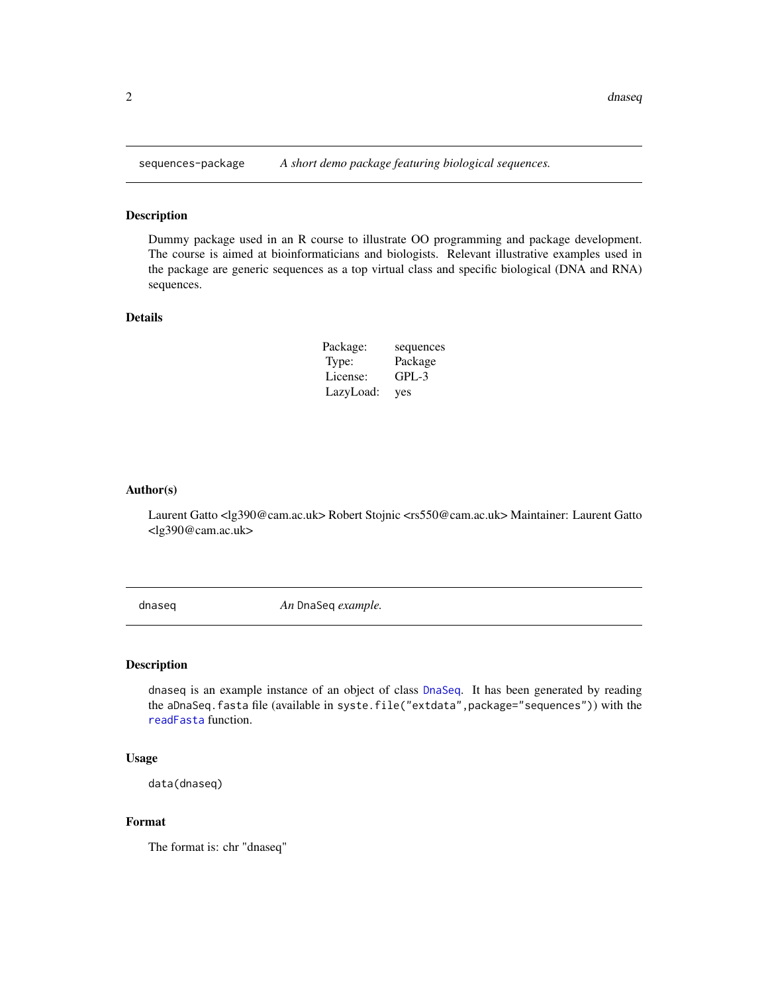<span id="page-1-0"></span>

#### Description

Dummy package used in an R course to illustrate OO programming and package development. The course is aimed at bioinformaticians and biologists. Relevant illustrative examples used in the package are generic sequences as a top virtual class and specific biological (DNA and RNA) sequences.

#### Details

| Package:  | sequences |
|-----------|-----------|
| Type:     | Package   |
| License:  | GPL-3     |
| LazyLoad: | yes       |

#### Author(s)

Laurent Gatto <lg390@cam.ac.uk> Robert Stojnic <rs550@cam.ac.uk> Maintainer: Laurent Gatto <lg390@cam.ac.uk>

dnaseq *An* DnaSeq *example.*

#### Description

dnaseq is an example instance of an object of class [DnaSeq](#page-2-1). It has been generated by reading the aDnaSeq.fasta file (available in syste.file("extdata",package="sequences")) with the [readFasta](#page-5-1) function.

#### Usage

```
data(dnaseq)
```
#### Format

The format is: chr "dnaseq"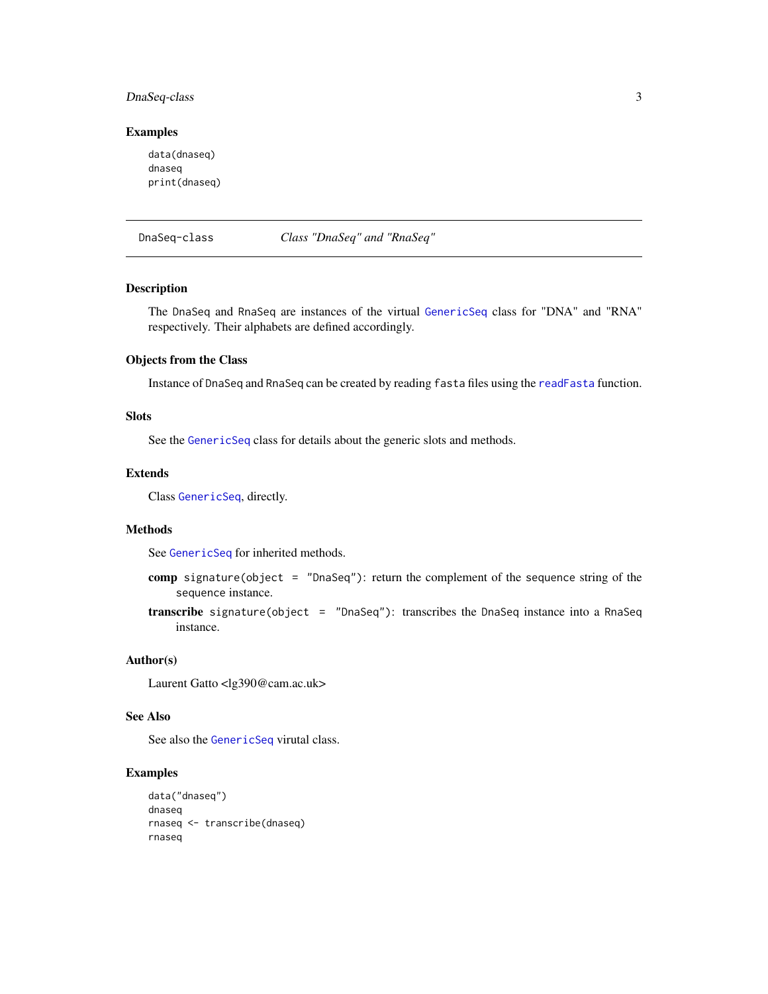# <span id="page-2-0"></span>DnaSeq-class 3

#### Examples

data(dnaseq) dnaseq print(dnaseq)

<span id="page-2-1"></span>

| DnaSeg-class |
|--------------|
|              |

DnaSeq-class *Class "DnaSeq" and "RnaSeq"*

# <span id="page-2-2"></span>Description

The DnaSeq and RnaSeq are instances of the virtual [GenericSeq](#page-4-1) class for "DNA" and "RNA" respectively. Their alphabets are defined accordingly.

### Objects from the Class

Instance of DnaSeq and RnaSeq can be created by reading fasta files using the [readFasta](#page-5-1) function.

#### Slots

See the [GenericSeq](#page-4-1) class for details about the generic slots and methods.

#### Extends

Class [GenericSeq](#page-4-1), directly.

#### Methods

See [GenericSeq](#page-4-1) for inherited methods.

- comp signature(object = "DnaSeq"): return the complement of the sequence string of the sequence instance.
- transcribe signature(object = "DnaSeq"): transcribes the DnaSeq instance into a RnaSeq instance.

#### Author(s)

Laurent Gatto <lg390@cam.ac.uk>

# See Also

See also the [GenericSeq](#page-4-1) virutal class.

# Examples

```
data("dnaseq")
dnaseq
rnaseq <- transcribe(dnaseq)
rnaseq
```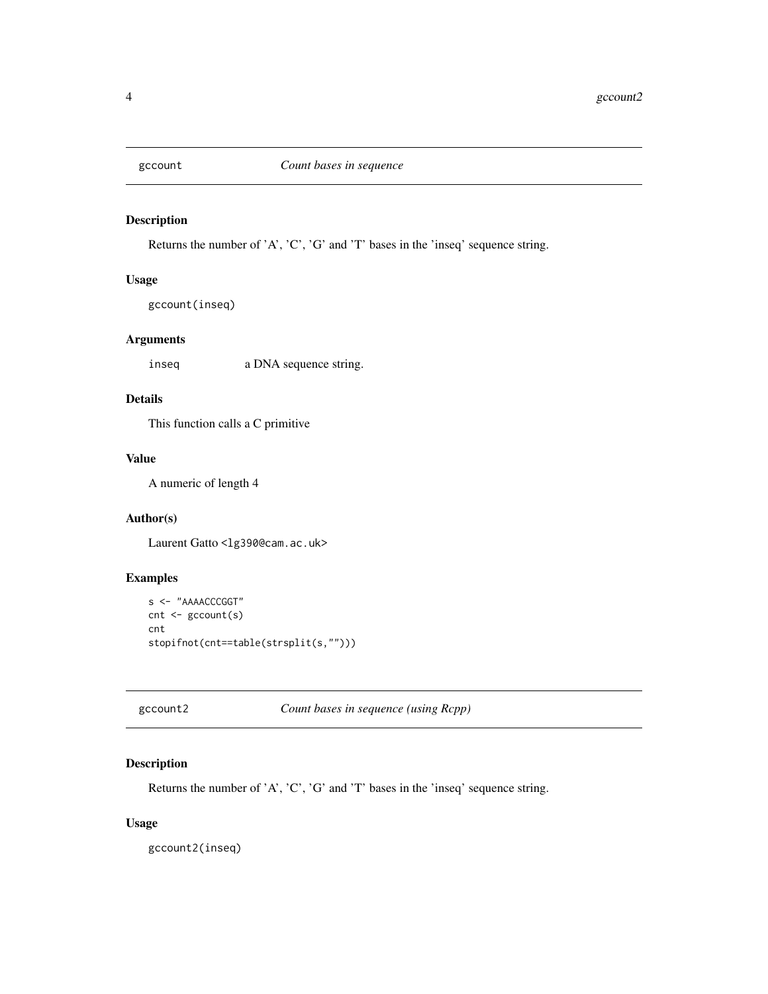<span id="page-3-0"></span>

# Description

Returns the number of 'A', 'C', 'G' and 'T' bases in the 'inseq' sequence string.

# Usage

gccount(inseq)

# Arguments

inseq a DNA sequence string.

# Details

This function calls a C primitive

# Value

A numeric of length 4

# Author(s)

Laurent Gatto <lg390@cam.ac.uk>

# Examples

```
s <- "AAAACCCGGT"
cnt <- gccount(s)
cnt
stopifnot(cnt==table(strsplit(s,"")))
```
gccount2 *Count bases in sequence (using Rcpp)*

# Description

Returns the number of 'A', 'C', 'G' and 'T' bases in the 'inseq' sequence string.

# Usage

gccount2(inseq)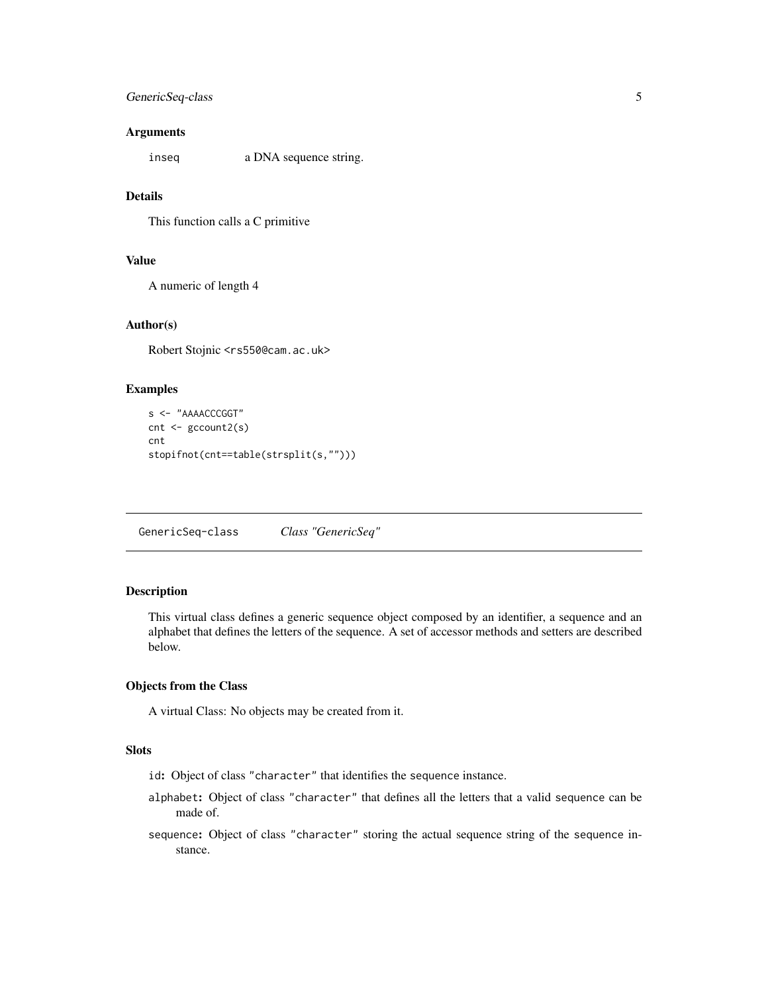# <span id="page-4-0"></span>GenericSeq-class 5

#### **Arguments**

inseq a DNA sequence string.

# Details

This function calls a C primitive

# Value

A numeric of length 4

#### Author(s)

Robert Stojnic <rs550@cam.ac.uk>

#### Examples

```
s <- "AAAACCCGGT"
cnt <- gccount2(s)
cnt
stopifnot(cnt==table(strsplit(s,"")))
```
<span id="page-4-1"></span>GenericSeq-class *Class "GenericSeq"*

# Description

This virtual class defines a generic sequence object composed by an identifier, a sequence and an alphabet that defines the letters of the sequence. A set of accessor methods and setters are described below.

#### Objects from the Class

A virtual Class: No objects may be created from it.

# **Slots**

- id: Object of class "character" that identifies the sequence instance.
- alphabet: Object of class "character" that defines all the letters that a valid sequence can be made of.
- sequence: Object of class "character" storing the actual sequence string of the sequence instance.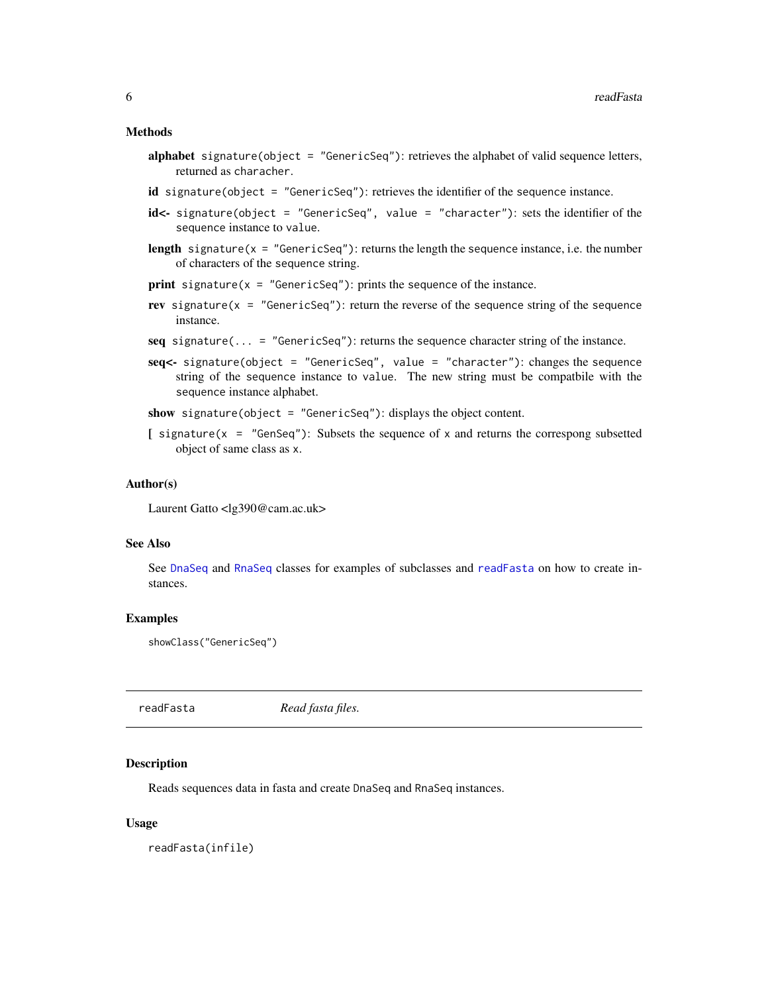#### <span id="page-5-0"></span>Methods

- alphabet signature(object = "GenericSeq"): retrieves the alphabet of valid sequence letters, returned as characher.
- id signature(object = "GenericSeq"): retrieves the identifier of the sequence instance.
- id<- signature(object = "GenericSeq", value = "character"): sets the identifier of the sequence instance to value.
- length signature( $x =$  "GenericSeq"): returns the length the sequence instance, i.e. the number of characters of the sequence string.
- **print** signature( $x =$  "GenericSeq"): prints the sequence of the instance.
- rev signature( $x =$  "GenericSeq"): return the reverse of the sequence string of the sequence instance.
- seq signature( $\dots$  = "GenericSeq"): returns the sequence character string of the instance.
- seq<- signature(object = "GenericSeq", value = "character"): changes the sequence string of the sequence instance to value. The new string must be compatbile with the sequence instance alphabet.

show signature(object = "GenericSeq"): displays the object content.

 $[$  signature(x = "GenSeq"): Subsets the sequence of x and returns the correspong subsetted object of same class as x.

#### Author(s)

Laurent Gatto <lg390@cam.ac.uk>

#### See Also

See [DnaSeq](#page-2-1) and [RnaSeq](#page-2-2) classes for examples of subclasses and [readFasta](#page-5-1) on how to create instances.

#### Examples

showClass("GenericSeq")

<span id="page-5-1"></span>readFasta *Read fasta files.*

#### Description

Reads sequences data in fasta and create DnaSeq and RnaSeq instances.

#### Usage

readFasta(infile)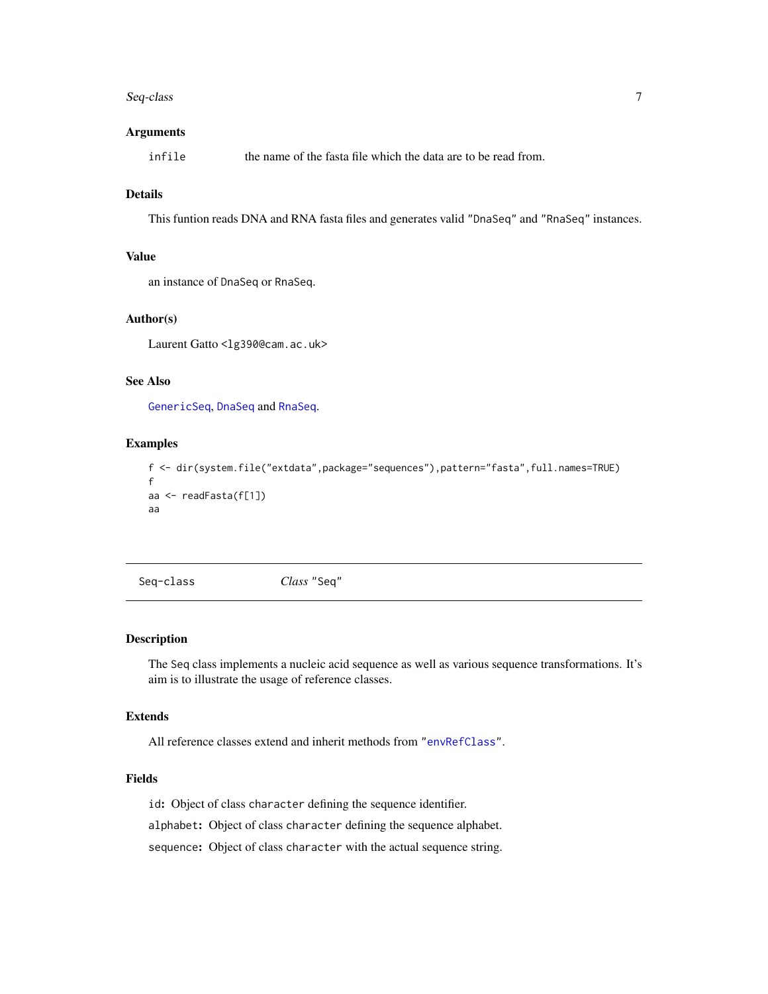#### <span id="page-6-0"></span>Seq-class 7

#### Arguments

infile the name of the fasta file which the data are to be read from.

# Details

This funtion reads DNA and RNA fasta files and generates valid "DnaSeq" and "RnaSeq" instances.

# Value

an instance of DnaSeq or RnaSeq.

# Author(s)

Laurent Gatto <lg390@cam.ac.uk>

# See Also

[GenericSeq](#page-4-1), [DnaSeq](#page-2-1) and [RnaSeq](#page-2-2).

#### Examples

```
f <- dir(system.file("extdata",package="sequences"),pattern="fasta",full.names=TRUE)
f
aa <- readFasta(f[1])
aa
```
Seq-class *Class* "Seq"

#### Description

The Seq class implements a nucleic acid sequence as well as various sequence transformations. It's aim is to illustrate the usage of reference classes.

#### Extends

All reference classes extend and inherit methods from ["envRefClass"](#page-0-0).

### Fields

id: Object of class character defining the sequence identifier.

alphabet: Object of class character defining the sequence alphabet.

sequence: Object of class character with the actual sequence string.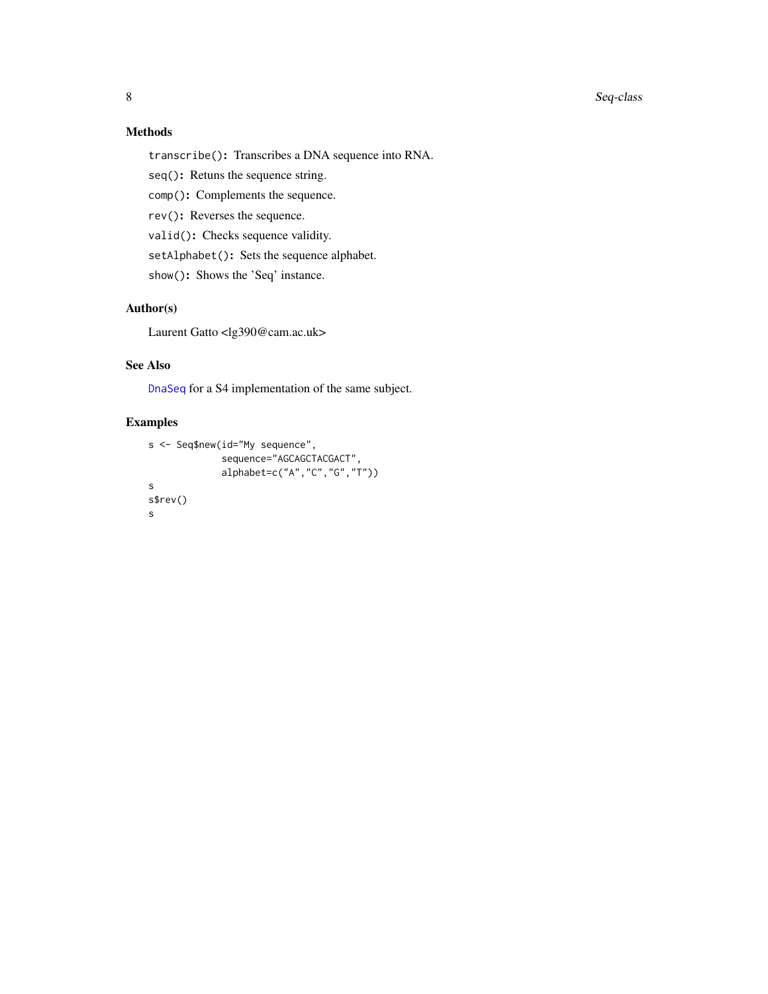#### <span id="page-7-0"></span>8 Seq-class and the sequence of the sequence of the sequence of the sequence of the sequence of the sequence of the sequence of the sequence of the sequence of the sequence of the sequence of the sequence of the sequence o

# Methods

transcribe(): Transcribes a DNA sequence into RNA.

seq(): Retuns the sequence string.

comp(): Complements the sequence.

rev(): Reverses the sequence.

valid(): Checks sequence validity.

setAlphabet(): Sets the sequence alphabet.

show(): Shows the 'Seq' instance.

# Author(s)

Laurent Gatto <lg390@cam.ac.uk>

# See Also

[DnaSeq](#page-2-1) for a S4 implementation of the same subject.

# Examples

```
s <- Seq$new(id="My sequence",
             sequence="AGCAGCTACGACT",
             alphabet=c("A","C","G","T"))
s
s$rev()
s
```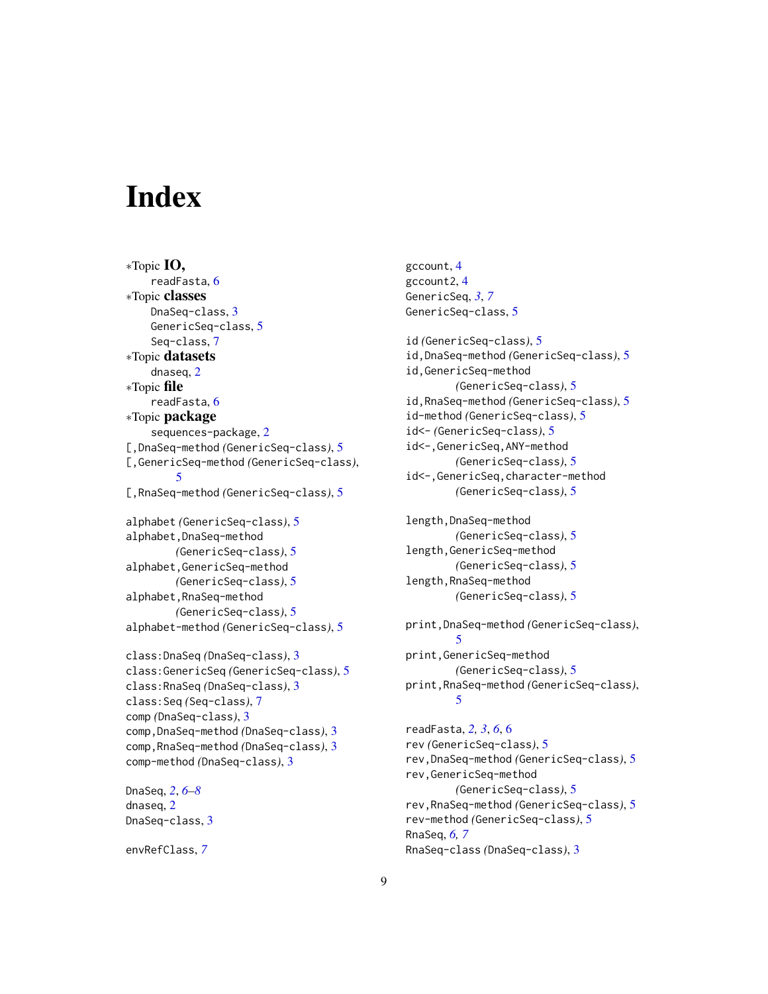# <span id="page-8-0"></span>**Index**

∗Topic IO, readFasta, [6](#page-5-0) ∗Topic classes DnaSeq-class, [3](#page-2-0) GenericSeq-class, [5](#page-4-0) Seq-class, [7](#page-6-0) ∗Topic datasets dnaseq, [2](#page-1-0) ∗Topic file readFasta, [6](#page-5-0) ∗Topic package sequences-package, [2](#page-1-0) [,DnaSeq-method *(*GenericSeq-class*)*, [5](#page-4-0) [,GenericSeq-method *(*GenericSeq-class*)*, [5](#page-4-0) [,RnaSeq-method *(*GenericSeq-class*)*, [5](#page-4-0) alphabet *(*GenericSeq-class*)*, [5](#page-4-0) alphabet,DnaSeq-method *(*GenericSeq-class*)*, [5](#page-4-0) alphabet,GenericSeq-method *(*GenericSeq-class*)*, [5](#page-4-0) alphabet,RnaSeq-method *(*GenericSeq-class*)*, [5](#page-4-0) alphabet-method *(*GenericSeq-class*)*, [5](#page-4-0) class:DnaSeq *(*DnaSeq-class*)*, [3](#page-2-0) class:GenericSeq *(*GenericSeq-class*)*, [5](#page-4-0) class:RnaSeq *(*DnaSeq-class*)*, [3](#page-2-0)

```
class:Seq (Seq-class), 7
comp (DnaSeq-class), 3
comp,DnaSeq-method (DnaSeq-class), 3
comp,RnaSeq-method (DnaSeq-class), 3
comp-method (DnaSeq-class), 3
```
DnaSeq, *[2](#page-1-0)*, *[6](#page-5-0)[–8](#page-7-0)* dnaseq, [2](#page-1-0) DnaSeq-class, [3](#page-2-0)

envRefClass, *[7](#page-6-0)*

gccount, [4](#page-3-0) gccount2, [4](#page-3-0) GenericSeq, *[3](#page-2-0)*, *[7](#page-6-0)* GenericSeq-class, [5](#page-4-0)

id *(*GenericSeq-class*)*, [5](#page-4-0) id,DnaSeq-method *(*GenericSeq-class*)*, [5](#page-4-0) id,GenericSeq-method *(*GenericSeq-class*)*, [5](#page-4-0) id,RnaSeq-method *(*GenericSeq-class*)*, [5](#page-4-0) id-method *(*GenericSeq-class*)*, [5](#page-4-0) id<- *(*GenericSeq-class*)*, [5](#page-4-0) id<-,GenericSeq,ANY-method *(*GenericSeq-class*)*, [5](#page-4-0) id<-,GenericSeq,character-method *(*GenericSeq-class*)*, [5](#page-4-0)

length,DnaSeq-method *(*GenericSeq-class*)*, [5](#page-4-0) length,GenericSeq-method *(*GenericSeq-class*)*, [5](#page-4-0) length,RnaSeq-method *(*GenericSeq-class*)*, [5](#page-4-0)

print,DnaSeq-method *(*GenericSeq-class*)*, [5](#page-4-0) print,GenericSeq-method *(*GenericSeq-class*)*, [5](#page-4-0) print,RnaSeq-method *(*GenericSeq-class*)*, [5](#page-4-0)

readFasta, *[2,](#page-1-0) [3](#page-2-0)*, *[6](#page-5-0)*, [6](#page-5-0) rev *(*GenericSeq-class*)*, [5](#page-4-0) rev,DnaSeq-method *(*GenericSeq-class*)*, [5](#page-4-0) rev,GenericSeq-method *(*GenericSeq-class*)*, [5](#page-4-0) rev,RnaSeq-method *(*GenericSeq-class*)*, [5](#page-4-0) rev-method *(*GenericSeq-class*)*, [5](#page-4-0) RnaSeq, *[6,](#page-5-0) [7](#page-6-0)* RnaSeq-class *(*DnaSeq-class*)*, [3](#page-2-0)